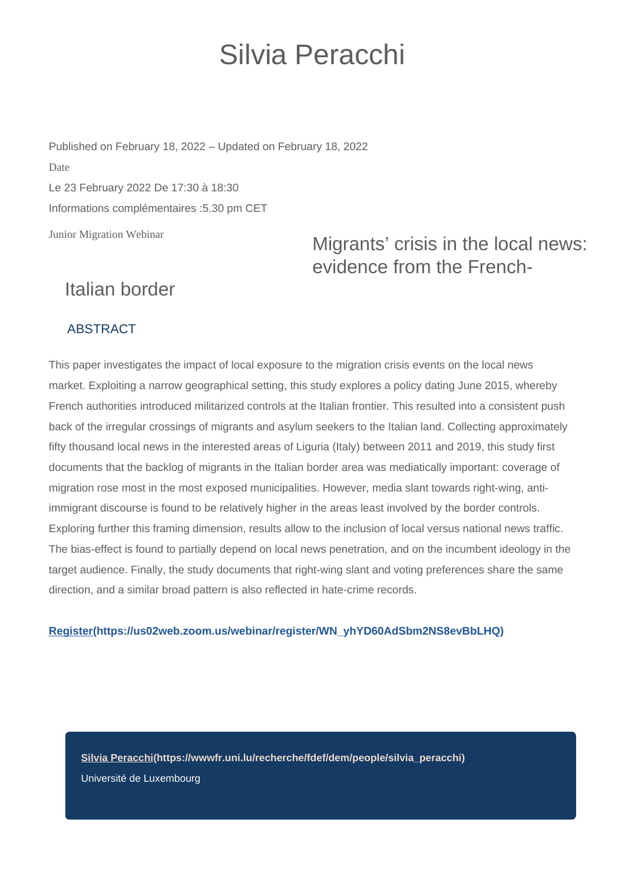# Silvia Peracchi

Junior Migration Webinar Published on February 18, 2022 – Updated on February 18, 2022 Date Le 23 February 2022 De 17:30 à 18:30 Informations complémentaires :5.30 pm CET

### Migrants' crisis in the local news: evidence from the French-

## Italian border

#### ABSTRACT

This paper investigates the impact of local exposure to the migration crisis events on the local news market. Exploiting a narrow geographical setting, this study explores a policy dating June 2015, whereby French authorities introduced militarized controls at the Italian frontier. This resulted into a consistent push back of the irregular crossings of migrants and asylum seekers to the Italian land. Collecting approximately fifty thousand local news in the interested areas of Liguria (Italy) between 2011 and 2019, this study first documents that the backlog of migrants in the Italian border area was mediatically important: coverage of migration rose most in the most exposed municipalities. However, media slant towards right-wing, antiimmigrant discourse is found to be relatively higher in the areas least involved by the border controls. Exploring further this framing dimension, results allow to the inclusion of local versus national news traffic. The bias-effect is found to partially depend on local news penetration, and on the incumbent ideology in the target audience. Finally, the study documents that right-wing slant and voting preferences share the same direction, and a similar broad pattern is also reflected in hate-crime records.

#### **[Register\(https://us02web.zoom.us/webinar/register/WN\\_yhYD60AdSbm2NS8evBbLHQ\)](https://us02web.zoom.us/webinar/register/WN_yhYD60AdSbm2NS8evBbLHQ)**

**[Silvia Peracchi\(https://wwwfr.uni.lu/recherche/fdef/dem/people/silvia\\_peracchi\)](https://wwwfr.uni.lu/recherche/fdef/dem/people/silvia_peracchi)** Université de Luxembourg